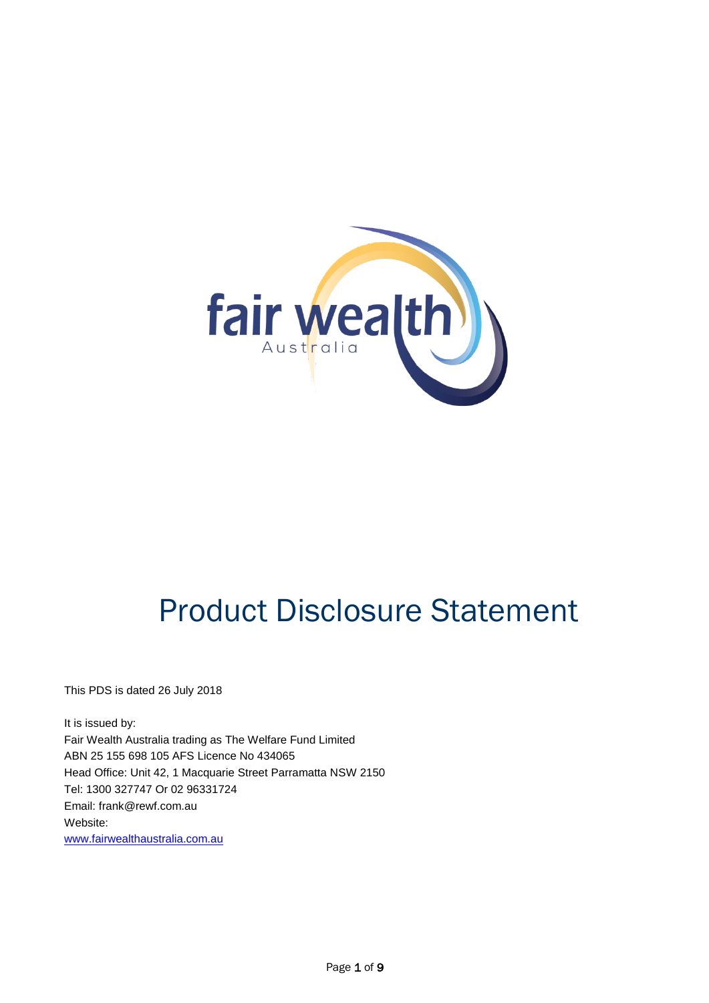

# Product Disclosure Statement

This PDS is dated 26 July 2018

It is issued by: Fair Wealth Australia trading as The Welfare Fund Limited ABN 25 155 698 105 AFS Licence No 434065 Head Office: Unit 42, 1 Macquarie Street Parramatta NSW 2150 Tel: 1300 327747 Or 02 96331724 Email: [frank@rewf.com.au](mailto:frank@rewf.com.au) Website: [www.fairwealthaustralia.com.au](http://www.fairwealthaustralia.com.au/)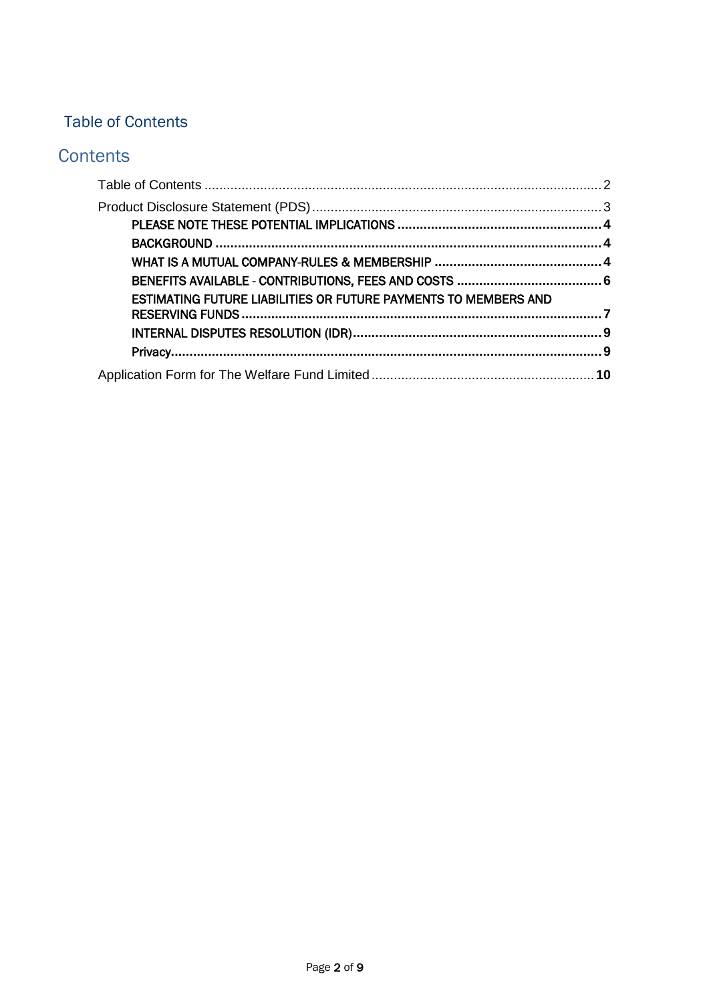# <span id="page-1-0"></span>Table of Contents

# **Contents**

| <b>ESTIMATING FUTURE LIABILITIES OR FUTURE PAYMENTS TO MEMBERS AND</b> |  |
|------------------------------------------------------------------------|--|
|                                                                        |  |
|                                                                        |  |
|                                                                        |  |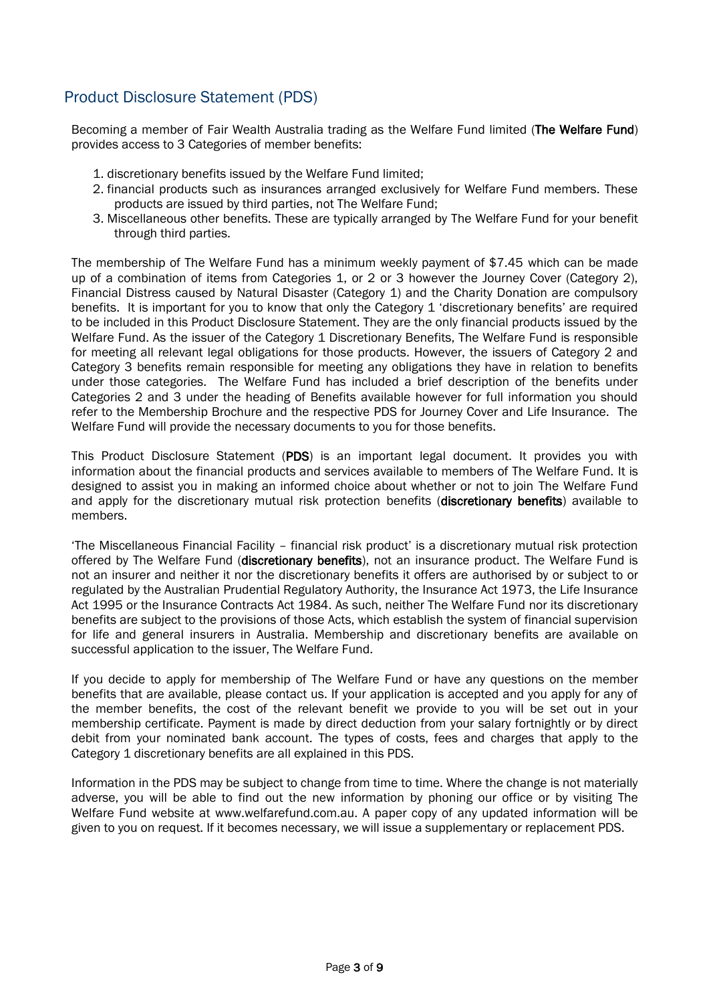## <span id="page-2-0"></span>Product Disclosure Statement (PDS)

Becoming a member of Fair Wealth Australia trading as the Welfare Fund limited (The Welfare Fund) provides access to 3 Categories of member benefits:

- 1. discretionary benefits issued by the Welfare Fund limited;
- 2. financial products such as insurances arranged exclusively for Welfare Fund members. These products are issued by third parties, not The Welfare Fund;
- 3. Miscellaneous other benefits. These are typically arranged by The Welfare Fund for your benefit through third parties.

The membership of The Welfare Fund has a minimum weekly payment of \$7.45 which can be made up of a combination of items from Categories 1, or 2 or 3 however the Journey Cover (Category 2), Financial Distress caused by Natural Disaster (Category 1) and the Charity Donation are compulsory benefits. It is important for you to know that only the Category 1 'discretionary benefits' are required to be included in this Product Disclosure Statement. They are the only financial products issued by the Welfare Fund. As the issuer of the Category 1 Discretionary Benefits, The Welfare Fund is responsible for meeting all relevant legal obligations for those products. However, the issuers of Category 2 and Category 3 benefits remain responsible for meeting any obligations they have in relation to benefits under those categories. The Welfare Fund has included a brief description of the benefits under Categories 2 and 3 under the heading of Benefits available however for full information you should refer to the Membership Brochure and the respective PDS for Journey Cover and Life Insurance. The Welfare Fund will provide the necessary documents to you for those benefits.

This Product Disclosure Statement (PDS) is an important legal document. It provides you with information about the financial products and services available to members of The Welfare Fund. It is designed to assist you in making an informed choice about whether or not to join The Welfare Fund and apply for the discretionary mutual risk protection benefits (discretionary benefits) available to members.

'The Miscellaneous Financial Facility – financial risk product' is a discretionary mutual risk protection offered by The Welfare Fund (discretionary benefits), not an insurance product. The Welfare Fund is not an insurer and neither it nor the discretionary benefits it offers are authorised by or subject to or regulated by the Australian Prudential Regulatory Authority, the Insurance Act 1973, the Life Insurance Act 1995 or the Insurance Contracts Act 1984. As such, neither The Welfare Fund nor its discretionary benefits are subject to the provisions of those Acts, which establish the system of financial supervision for life and general insurers in Australia. Membership and discretionary benefits are available on successful application to the issuer, The Welfare Fund.

If you decide to apply for membership of The Welfare Fund or have any questions on the member benefits that are available, please contact us. If your application is accepted and you apply for any of the member benefits, the cost of the relevant benefit we provide to you will be set out in your membership certificate. Payment is made by direct deduction from your salary fortnightly or by direct debit from your nominated bank account. The types of costs, fees and charges that apply to the Category 1 discretionary benefits are all explained in this PDS.

Information in the PDS may be subject to change from time to time. Where the change is not materially adverse, you will be able to find out the new information by phoning our office or by visiting The Welfare Fund website at [www.welfarefund.com.au.](http://www.welfarefund.com.au/) A paper copy of any updated information will be given to you on request. If it becomes necessary, we will issue a supplementary or replacement PDS.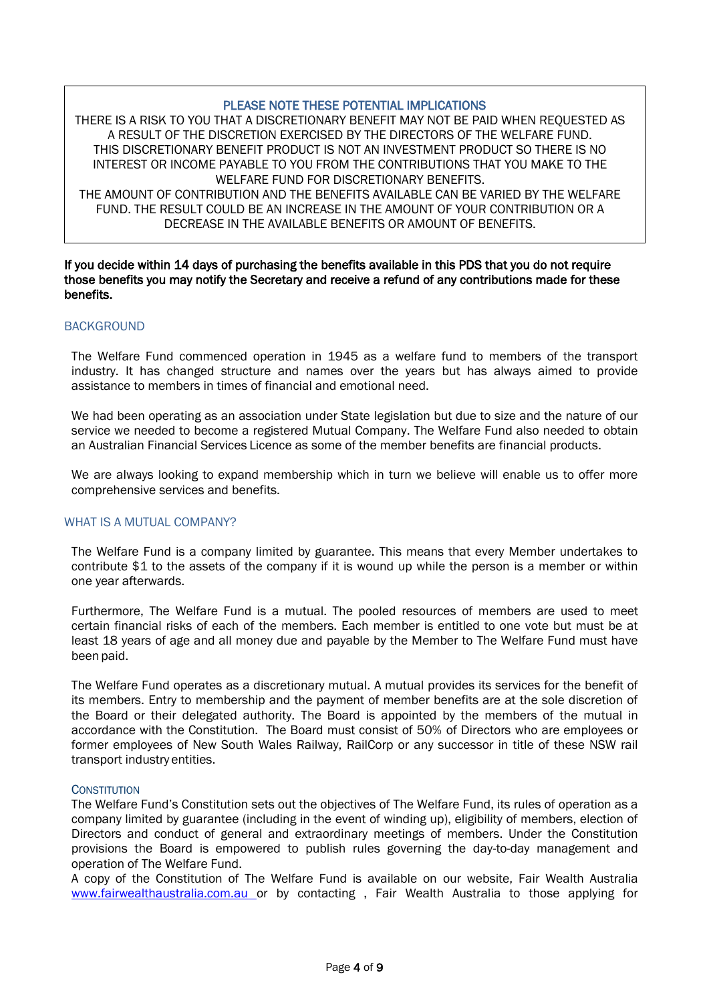#### PLEASE NOTE THESE POTENTIAL IMPLICATIONS

<span id="page-3-0"></span>THERE IS A RISK TO YOU THAT A DISCRETIONARY BENEFIT MAY NOT BE PAID WHEN REQUESTED AS A RESULT OF THE DISCRETION EXERCISED BY THE DIRECTORS OF THE WELFARE FUND. THIS DISCRETIONARY BENEFIT PRODUCT IS NOT AN INVESTMENT PRODUCT SO THERE IS NO INTEREST OR INCOME PAYABLE TO YOU FROM THE CONTRIBUTIONS THAT YOU MAKE TO THE WELFARE FUND FOR DISCRETIONARY BENEFITS. THE AMOUNT OF CONTRIBUTION AND THE BENEFITS AVAILABLE CAN BE VARIED BY THE WELFARE

FUND. THE RESULT COULD BE AN INCREASE IN THE AMOUNT OF YOUR CONTRIBUTION OR A DECREASE IN THE AVAILABLE BENEFITS OR AMOUNT OF BENEFITS.

If you decide within 14 days of purchasing the benefits available in this PDS that you do not require those benefits you may notify the Secretary and receive a refund of any contributions made for these benefits.

#### <span id="page-3-1"></span>BACKGROUND

The Welfare Fund commenced operation in 1945 as a welfare fund to members of the transport industry. It has changed structure and names over the years but has always aimed to provide assistance to members in times of financial and emotional need.

We had been operating as an association under State legislation but due to size and the nature of our service we needed to become a registered Mutual Company. The Welfare Fund also needed to obtain an Australian Financial Services Licence as some of the member benefits are financial products.

We are always looking to expand membership which in turn we believe will enable us to offer more comprehensive services and benefits.

#### <span id="page-3-2"></span>WHAT IS A MUTUAL COMPANY?

The Welfare Fund is a company limited by guarantee. This means that every Member undertakes to contribute \$1 to the assets of the company if it is wound up while the person is a member or within one year afterwards.

Furthermore, The Welfare Fund is a mutual. The pooled resources of members are used to meet certain financial risks of each of the members. Each member is entitled to one vote but must be at least 18 years of age and all money due and payable by the Member to The Welfare Fund must have been paid.

The Welfare Fund operates as a discretionary mutual. A mutual provides its services for the benefit of its members. Entry to membership and the payment of member benefits are at the sole discretion of the Board or their delegated authority. The Board is appointed by the members of the mutual in accordance with the Constitution. The Board must consist of 50% of Directors who are employees or former employees of New South Wales Railway, RailCorp or any successor in title of these NSW rail transport industry entities.

#### **CONSTITUTION**

The Welfare Fund's Constitution sets out the objectives of The Welfare Fund, its rules of operation as a company limited by guarantee (including in the event of winding up), eligibility of members, election of Directors and conduct of general and extraordinary meetings of members. Under the Constitution provisions the Board is empowered to publish rules governing the day-to-day management and operation of The Welfare Fund.

A copy of the Constitution of The Welfare Fund is available on our website, Fair Wealth Australia [www.fairwealthaustralia.com.au o](http://www.fairwealthaustralia.com.au/)r by contacting, Fair Wealth Australia to those applying for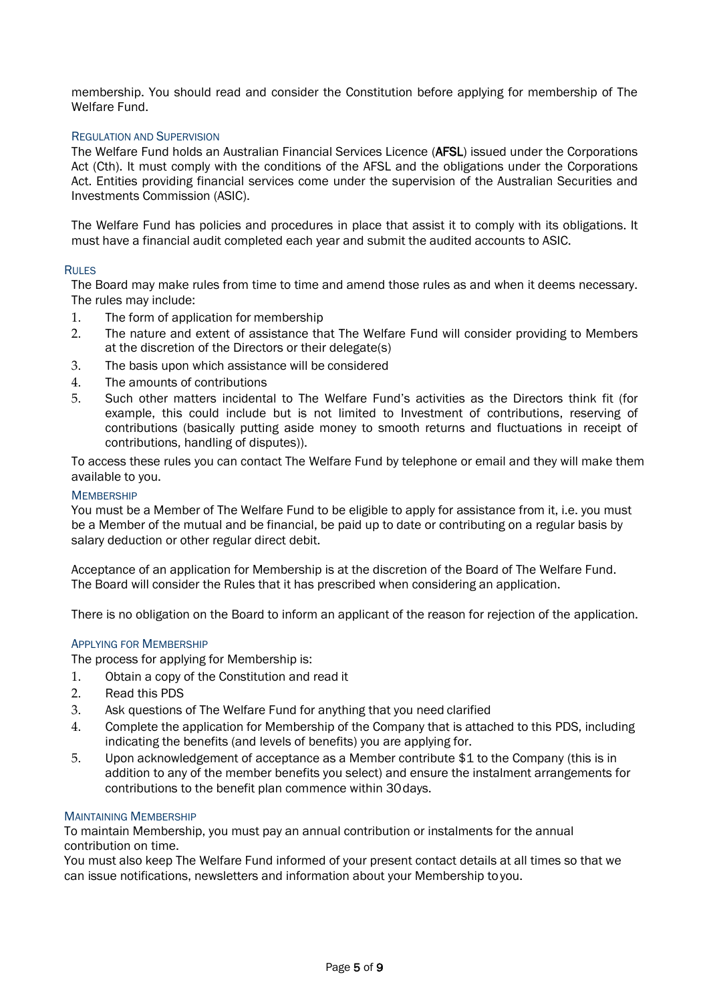membership. You should read and consider the Constitution before applying for membership of The Welfare Fund.

#### REGULATION AND SUPERVISION

The Welfare Fund holds an Australian Financial Services Licence (AFSL) issued under the Corporations Act (Cth). It must comply with the conditions of the AFSL and the obligations under the Corporations Act. Entities providing financial services come under the supervision of the Australian Securities and Investments Commission (ASIC).

The Welfare Fund has policies and procedures in place that assist it to comply with its obligations. It must have a financial audit completed each year and submit the audited accounts to ASIC.

#### RULES

The Board may make rules from time to time and amend those rules as and when it deems necessary. The rules may include:

- 1. The form of application for membership<br>2. The nature and extent of assistance that
- The nature and extent of assistance that The Welfare Fund will consider providing to Members at the discretion of the Directors or their delegate(s)
- 3. The basis upon which assistance will be considered
- 4. The amounts of contributions
- 5. Such other matters incidental to The Welfare Fund's activities as the Directors think fit (for example, this could include but is not limited to Investment of contributions, reserving of contributions (basically putting aside money to smooth returns and fluctuations in receipt of contributions, handling of disputes)).

To access these rules you can contact The Welfare Fund by telephone or email and they will make them available to you.

#### **MEMBERSHIP**

You must be a Member of The Welfare Fund to be eligible to apply for assistance from it, i.e. you must be a Member of the mutual and be financial, be paid up to date or contributing on a regular basis by salary deduction or other regular direct debit.

Acceptance of an application for Membership is at the discretion of the Board of The Welfare Fund. The Board will consider the Rules that it has prescribed when considering an application.

There is no obligation on the Board to inform an applicant of the reason for rejection of the application.

#### APPLYING FOR MEMBERSHIP

The process for applying for Membership is:

- 1. Obtain a copy of the Constitution and read it
- 2. Read this PDS
- 3. Ask questions of The Welfare Fund for anything that you need clarified
- 4. Complete the application for Membership of the Company that is attached to this PDS, including indicating the benefits (and levels of benefits) you are applying for.
- 5. Upon acknowledgement of acceptance as a Member contribute \$1 to the Company (this is in addition to any of the member benefits you select) and ensure the instalment arrangements for contributions to the benefit plan commence within 30days.

#### MAINTAINING MEMBERSHIP

To maintain Membership, you must pay an annual contribution or instalments for the annual contribution on time.

You must also keep The Welfare Fund informed of your present contact details at all times so that we can issue notifications, newsletters and information about your Membership toyou.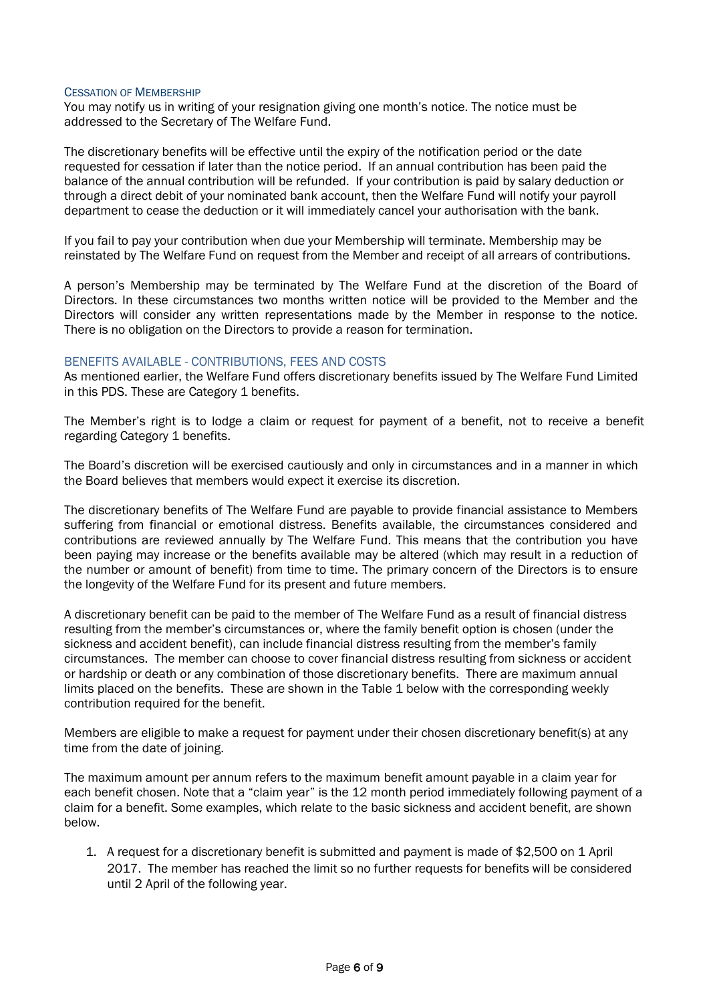#### CESSATION OF MEMBERSHIP

You may notify us in writing of your resignation giving one month's notice. The notice must be addressed to the Secretary of The Welfare Fund.

The discretionary benefits will be effective until the expiry of the notification period or the date requested for cessation if later than the notice period. If an annual contribution has been paid the balance of the annual contribution will be refunded. If your contribution is paid by salary deduction or through a direct debit of your nominated bank account, then the Welfare Fund will notify your payroll department to cease the deduction or it will immediately cancel your authorisation with the bank.

If you fail to pay your contribution when due your Membership will terminate. Membership may be reinstated by The Welfare Fund on request from the Member and receipt of all arrears of contributions.

A person's Membership may be terminated by The Welfare Fund at the discretion of the Board of Directors. In these circumstances two months written notice will be provided to the Member and the Directors will consider any written representations made by the Member in response to the notice. There is no obligation on the Directors to provide a reason for termination.

#### <span id="page-5-0"></span>BENEFITS AVAILABLE - CONTRIBUTIONS, FEES AND COSTS

As mentioned earlier, the Welfare Fund offers discretionary benefits issued by The Welfare Fund Limited in this PDS. These are Category 1 benefits.

The Member's right is to lodge a claim or request for payment of a benefit, not to receive a benefit regarding Category 1 benefits.

The Board's discretion will be exercised cautiously and only in circumstances and in a manner in which the Board believes that members would expect it exercise its discretion.

The discretionary benefits of The Welfare Fund are payable to provide financial assistance to Members suffering from financial or emotional distress. Benefits available, the circumstances considered and contributions are reviewed annually by The Welfare Fund. This means that the contribution you have been paying may increase or the benefits available may be altered (which may result in a reduction of the number or amount of benefit) from time to time. The primary concern of the Directors is to ensure the longevity of the Welfare Fund for its present and future members.

A discretionary benefit can be paid to the member of The Welfare Fund as a result of financial distress resulting from the member's circumstances or, where the family benefit option is chosen (under the sickness and accident benefit), can include financial distress resulting from the member's family circumstances. The member can choose to cover financial distress resulting from sickness or accident or hardship or death or any combination of those discretionary benefits. There are maximum annual limits placed on the benefits. These are shown in the Table 1 below with the corresponding weekly contribution required for the benefit.

Members are eligible to make a request for payment under their chosen discretionary benefit(s) at any time from the date of joining.

The maximum amount per annum refers to the maximum benefit amount payable in a claim year for each benefit chosen. Note that a "claim year" is the 12 month period immediately following payment of a claim for a benefit. Some examples, which relate to the basic sickness and accident benefit, are shown below.

1. A request for a discretionary benefit is submitted and payment is made of \$2,500 on 1 April 2017. The member has reached the limit so no further requests for benefits will be considered until 2 April of the following year.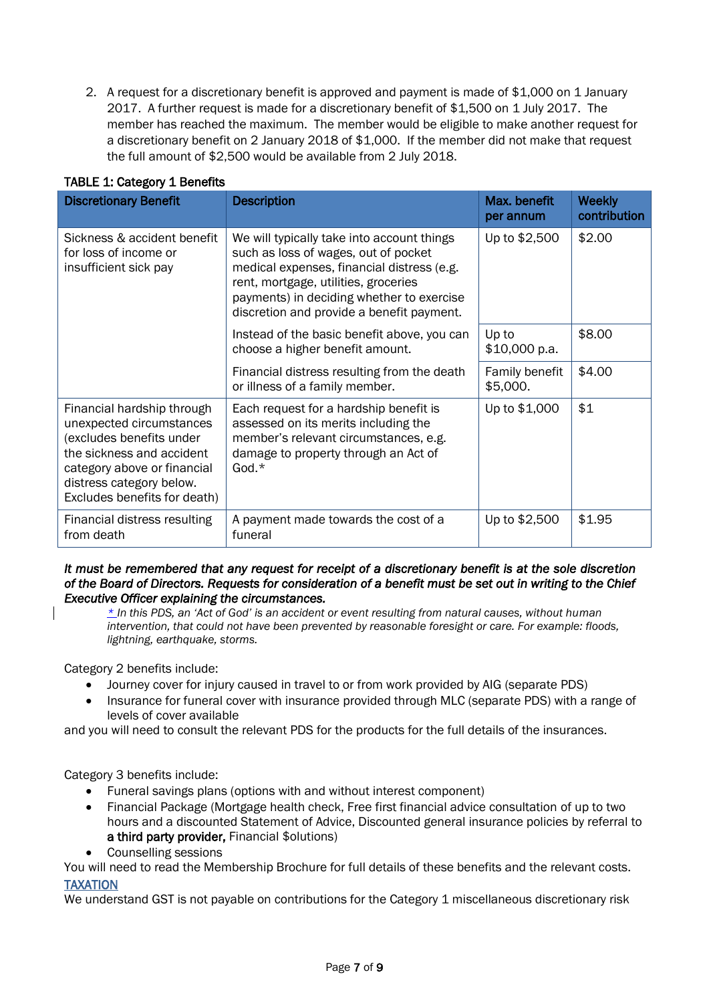2. A request for a discretionary benefit is approved and payment is made of \$1,000 on 1 January 2017. A further request is made for a discretionary benefit of \$1,500 on 1 July 2017. The member has reached the maximum. The member would be eligible to make another request for a discretionary benefit on 2 January 2018 of \$1,000. If the member did not make that request the full amount of \$2,500 would be available from 2 July 2018.

| <b>Discretionary Benefit</b>                                                                                                                                                                               | <b>Description</b>                                                                                                                                                                                                                                                 | Max. benefit<br>per annum  | <b>Weekly</b><br>contribution |
|------------------------------------------------------------------------------------------------------------------------------------------------------------------------------------------------------------|--------------------------------------------------------------------------------------------------------------------------------------------------------------------------------------------------------------------------------------------------------------------|----------------------------|-------------------------------|
| Sickness & accident benefit<br>for loss of income or<br>insufficient sick pay                                                                                                                              | We will typically take into account things<br>such as loss of wages, out of pocket<br>medical expenses, financial distress (e.g.<br>rent, mortgage, utilities, groceries<br>payments) in deciding whether to exercise<br>discretion and provide a benefit payment. | Up to \$2,500              | \$2.00                        |
|                                                                                                                                                                                                            | Instead of the basic benefit above, you can<br>choose a higher benefit amount.                                                                                                                                                                                     | Up to<br>\$10,000 p.a.     | \$8.00                        |
|                                                                                                                                                                                                            | Financial distress resulting from the death<br>or illness of a family member.                                                                                                                                                                                      | Family benefit<br>\$5,000. | \$4.00                        |
| Financial hardship through<br>unexpected circumstances<br>(excludes benefits under<br>the sickness and accident<br>category above or financial<br>distress category below.<br>Excludes benefits for death) | Each request for a hardship benefit is<br>assessed on its merits including the<br>member's relevant circumstances, e.g.<br>damage to property through an Act of<br>God. $*$                                                                                        | Up to \$1,000              | \$1                           |
| Financial distress resulting<br>from death                                                                                                                                                                 | A payment made towards the cost of a<br>funeral                                                                                                                                                                                                                    | Up to \$2,500              | \$1.95                        |

### TABLE 1: Category 1 Benefits

#### *It must be remembered that any request for receipt of a discretionary benefit is at the sole discretion of the Board of Directors. Requests for consideration of a benefit must be set out in writing to the Chief Executive Officer explaining the circumstances.*

*\* In this PDS, an 'Act of God' is an accident or event resulting from natural causes, without human intervention, that could not have been prevented by reasonable foresight or care. For example: floods, lightning, earthquake, storms.*

Category 2 benefits include:

- Journey cover for injury caused in travel to or from work provided by AIG (separate PDS)
- Insurance for funeral cover with insurance provided through MLC (separate PDS) with a range of levels of cover available

and you will need to consult the relevant PDS for the products for the full details of the insurances.

Category 3 benefits include:

- Funeral savings plans (options with and without interest component)
- Financial Package (Mortgage health check, Free first financial advice consultation of up to two hours and a discounted Statement of Advice, Discounted general insurance policies by referral to a third party provider, Financial \$olutions)
- Counselling sessions

You will need to read the Membership Brochure for full details of these benefits and the relevant costs. TAXATION

<span id="page-6-0"></span>We understand GST is not payable on contributions for the Category 1 miscellaneous discretionary risk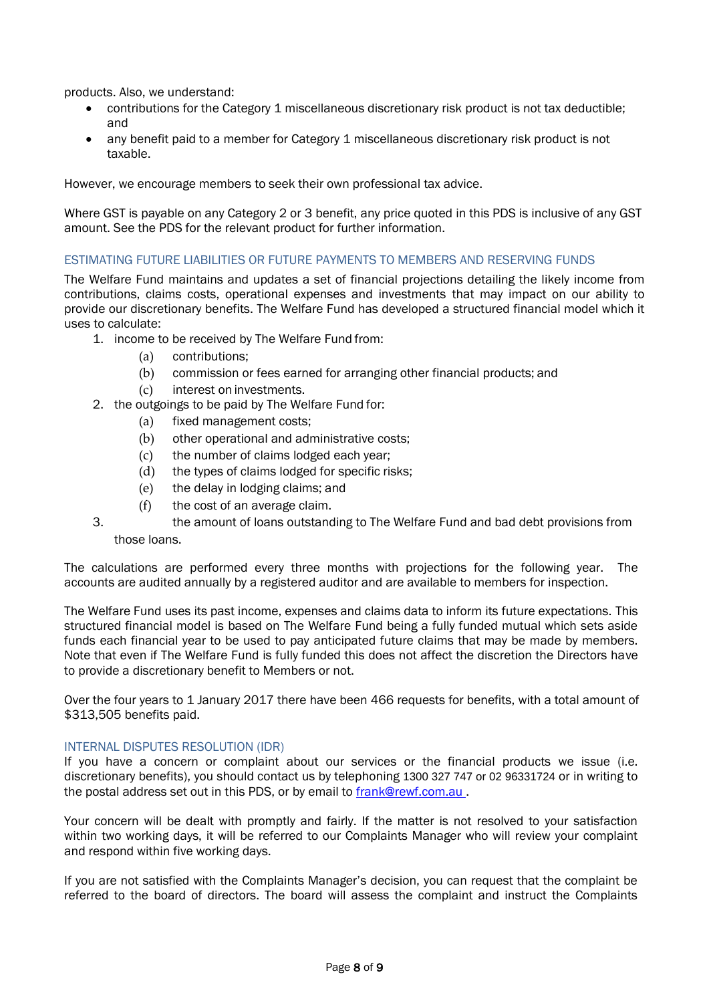products. Also, we understand:

- contributions for the Category 1 miscellaneous discretionary risk product is not tax deductible; and
- any benefit paid to a member for Category 1 miscellaneous discretionary risk product is not taxable.

However, we encourage members to seek their own professional tax advice.

Where GST is payable on any Category 2 or 3 benefit, any price quoted in this PDS is inclusive of any GST amount. See the PDS for the relevant product for further information.

#### ESTIMATING FUTURE LIABILITIES OR FUTURE PAYMENTS TO MEMBERS AND RESERVING FUNDS

The Welfare Fund maintains and updates a set of financial projections detailing the likely income from contributions, claims costs, operational expenses and investments that may impact on our ability to provide our discretionary benefits. The Welfare Fund has developed a structured financial model which it uses to calculate:

- 1. income to be received by The Welfare Fund from:
	- (a) contributions;
	- (b) commission or fees earned for arranging other financial products; and
	- (c) interest on investments.
- 2. the outgoings to be paid by The Welfare Fund for:
	- (a) fixed management costs;
	- (b) other operational and administrative costs;
	- (c) the number of claims lodged each year;
	- (d) the types of claims lodged for specific risks;
	- (e) the delay in lodging claims; and
	- (f) the cost of an average claim.
- 3. the amount of loans outstanding to The Welfare Fund and bad debt provisions from those loans.

The calculations are performed every three months with projections for the following year. The accounts are audited annually by a registered auditor and are available to members for inspection.

The Welfare Fund uses its past income, expenses and claims data to inform its future expectations. This structured financial model is based on The Welfare Fund being a fully funded mutual which sets aside funds each financial year to be used to pay anticipated future claims that may be made by members. Note that even if The Welfare Fund is fully funded this does not affect the discretion the Directors have to provide a discretionary benefit to Members or not.

Over the four years to 1 January 2017 there have been 466 requests for benefits, with a total amount of \$313,505 benefits paid.

#### <span id="page-7-0"></span>INTERNAL DISPUTES RESOLUTION (IDR)

If you have a concern or complaint about our services or the financial products we issue (i.e. discretionary benefits), you should contact us by telephoning 1300 327 747 or 02 96331724 or in writing to the postal address set out in this PDS, or by email to [frank@rewf.com.au .](mailto:frank@rewf.com.au)

Your concern will be dealt with promptly and fairly. If the matter is not resolved to your satisfaction within two working days, it will be referred to our Complaints Manager who will review your complaint and respond within five working days.

If you are not satisfied with the Complaints Manager's decision, you can request that the complaint be referred to the board of directors. The board will assess the complaint and instruct the Complaints